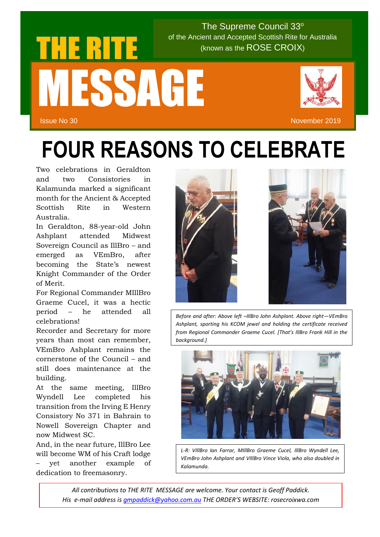## $\sim$  (known as the ROSE CROIX) (known as the ROSE CROIX) The Supreme Council 33° of the Ancient and Accepted Scottish Rite for Australia MESSAGE

Issue No 30 November 2019

## **FOUR REASONS TO CELEBRATE**

Two celebrations in Geraldton and two Consistories in Kalamunda marked a significant month for the Ancient & Accepted Scottish Rite in Western Australia.

In Geraldton, 88-year-old John Ashplant attended Midwest Sovereign Council as IllBro – and emerged as VEmBro, after becoming the State's newest Knight Commander of the Order of Merit.

For Regional Commander MIllBro Graeme Cucel, it was a hectic period – he attended all celebrations!

Recorder and Secretary for more years than most can remember, VEmBro Ashplant remains the cornerstone of the Council – and still does maintenance at the building.

At the same meeting, IllBro Wyndell Lee completed his transition from the Irving E Henry Consistory No 371 in Bahrain to Nowell Sovereign Chapter and now Midwest SC.

And, in the near future, IllBro Lee will become WM of his Craft lodge – yet another example of dedication to freemasonry.





*Before and after: Above left –IllBro John Ashplant. Above right—VEmBro Ashplant, sporting his KCOM jewel and holding the certificate received from Regional Commander Graeme Cucel. [That's IllBro Frank Hill in the background.]*



*L-R: VIllBro Ian Farrar, MIllBro Graeme Cucel, IllBro Wyndell Lee, VEmBro John Ashplant and VIllBro Vince Viola, who also doubled in Kalamunda.*

*All contributions to THE RITE MESSAGE are welcome. Your contact is Geoff Paddick. His e-mail address is [gmpaddick@yahoo.com.au](mailto:gmpaddick@yahoo.com.au) THE ORDER'S WEBSITE: rosecroixwa.com*